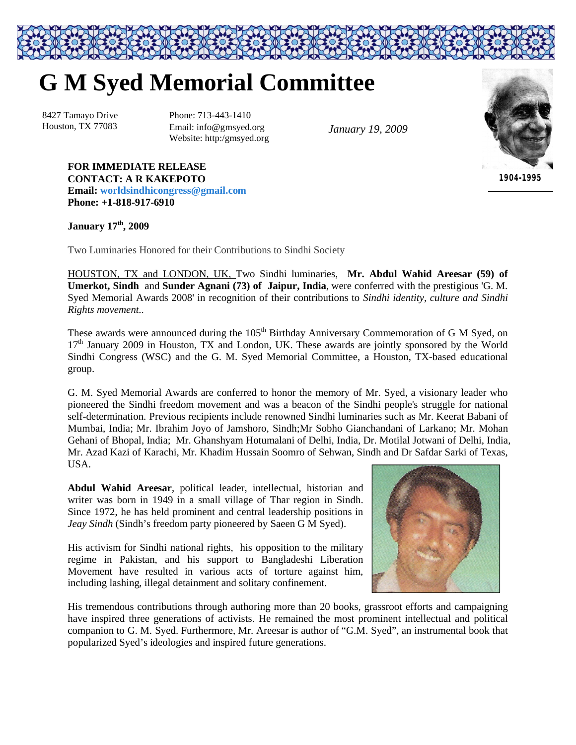## **G M Syed Memorial Committee**

8427 Tamayo Drive Houston, TX 77083

Phone: 713-443-1410 Email: info@gmsyed.org Website: http:/gmsyed.org

*January 19, 2009*

*1904-1995*

## January  $17<sup>th</sup>$ , 2009

**Phone: +1-818-917-6910**

**FOR IMMEDIATE RELEASE CONTACT: A R KAKEPOTO**

**Email: worldsindhicongress@gmail.com**

Two Luminaries Honored for their Contributions to Sindhi Society

HOUSTON, TX and LONDON, UK, Two Sindhi luminaries, **Mr. Abdul Wahid Areesar (59) of Umerkot, Sindh** and **Sunder Agnani (73) of Jaipur, India**, were conferred with the prestigious 'G. M. Syed Memorial Awards 2008' in recognition of their contributions to *Sindhi identity, culture and Sindhi Rights movement..*

These awards were announced during the 105<sup>th</sup> Birthday Anniversary Commemoration of G M Syed, on 17<sup>th</sup> January 2009 in Houston, TX and London, UK. These awards are jointly sponsored by the World Sindhi Congress (WSC) and the G. M. Syed Memorial Committee, a Houston, TX-based educational group.

G. M. Syed Memorial Awards are conferred to honor the memory of Mr. Syed, a visionary leader who pioneered the Sindhi freedom movement and was a beacon of the Sindhi people's struggle for national self-determination. Previous recipients include renowned Sindhi luminaries such as Mr. Keerat Babani of Mumbai, India; Mr. Ibrahim Joyo of Jamshoro, Sindh;Mr Sobho Gianchandani of Larkano; Mr. Mohan Gehani of Bhopal, India; Mr. Ghanshyam Hotumalani of Delhi, India, Dr. Motilal Jotwani of Delhi, India, Mr. Azad Kazi of Karachi, Mr. Khadim Hussain Soomro of Sehwan, Sindh and Dr Safdar Sarki of Texas, USA.

**Abdul Wahid Areesar**, political leader, intellectual, historian and writer was born in 1949 in a small village of Thar region in Sindh. Since 1972, he has held prominent and central leadership positions in *Jeay Sindh* (Sindh's freedom party pioneered by Saeen G M Syed).

His activism for Sindhi national rights, his opposition to the military regime in Pakistan, and his support to Bangladeshi Liberation Movement have resulted in various acts of torture against him, including lashing, illegal detainment and solitary confinement.



His tremendous contributions through authoring more than 20 books, grassroot efforts and campaigning have inspired three generations of activists. He remained the most prominent intellectual and political companion to G. M. Syed. Furthermore, Mr. Areesar is author of "G.M. Syed", an instrumental book that popularized Syed's ideologies and inspired future generations.